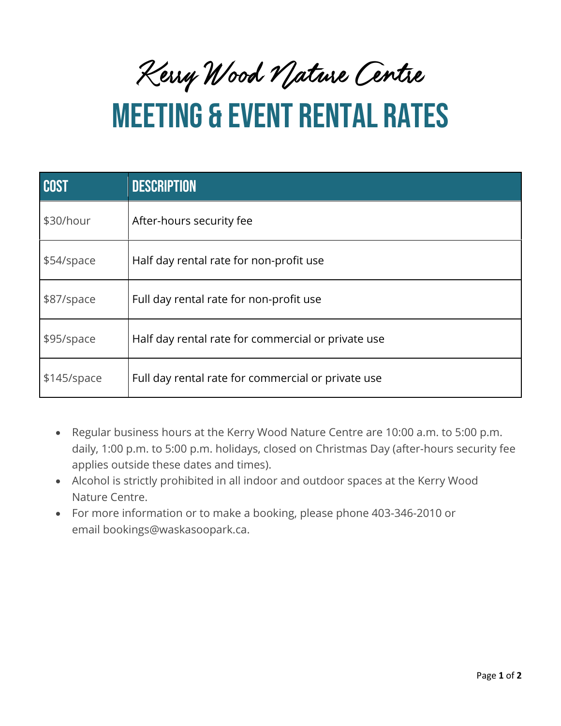Kerry Wood Nature Centre

## MEETING & EVENT RENTAL RATES

| <b>COST</b> | <b>DESCRIPTION</b>                                 |
|-------------|----------------------------------------------------|
| \$30/hour   | After-hours security fee                           |
| \$54/space  | Half day rental rate for non-profit use            |
| \$87/space  | Full day rental rate for non-profit use            |
| \$95/space  | Half day rental rate for commercial or private use |
| \$145/space | Full day rental rate for commercial or private use |

- Regular business hours at the Kerry Wood Nature Centre are 10:00 a.m. to 5:00 p.m. daily, 1:00 p.m. to 5:00 p.m. holidays, closed on Christmas Day (after-hours security fee applies outside these dates and times).
- Alcohol is strictly prohibited in all indoor and outdoor spaces at the Kerry Wood Nature Centre.
- For more information or to make a booking, please phone 403-346-2010 or email bookings@waskasoopark.ca.